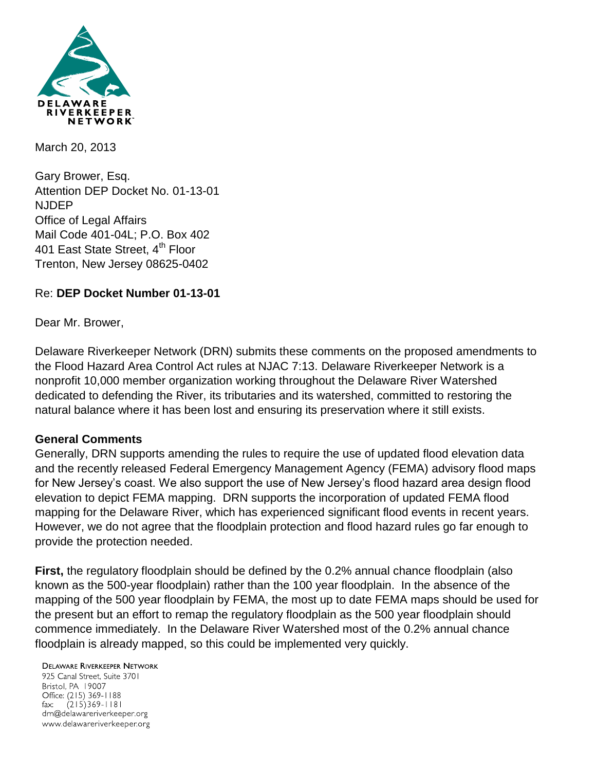

March 20, 2013

Gary Brower, Esq. Attention DEP Docket No. 01-13-01 NJDEP Office of Legal Affairs Mail Code 401-04L; P.O. Box 402 401 East State Street, 4<sup>th</sup> Floor Trenton, New Jersey 08625-0402

### Re: **DEP Docket Number 01-13-01**

Dear Mr. Brower,

Delaware Riverkeeper Network (DRN) submits these comments on the proposed amendments to the Flood Hazard Area Control Act rules at NJAC 7:13. Delaware Riverkeeper Network is a nonprofit 10,000 member organization working throughout the Delaware River Watershed dedicated to defending the River, its tributaries and its watershed, committed to restoring the natural balance where it has been lost and ensuring its preservation where it still exists.

#### **General Comments**

Generally, DRN supports amending the rules to require the use of updated flood elevation data and the recently released Federal Emergency Management Agency (FEMA) advisory flood maps for New Jersey's coast. We also support the use of New Jersey's flood hazard area design flood elevation to depict FEMA mapping. DRN supports the incorporation of updated FEMA flood mapping for the Delaware River, which has experienced significant flood events in recent years. However, we do not agree that the floodplain protection and flood hazard rules go far enough to provide the protection needed.

**First,** the regulatory floodplain should be defined by the 0.2% annual chance floodplain (also known as the 500-year floodplain) rather than the 100 year floodplain. In the absence of the mapping of the 500 year floodplain by FEMA, the most up to date FEMA maps should be used for the present but an effort to remap the regulatory floodplain as the 500 year floodplain should commence immediately. In the Delaware River Watershed most of the 0.2% annual chance floodplain is already mapped, so this could be implemented very quickly.

## **DELAWARE RIVERKEEPER NETWORK**

925 Canal Street, Suite 3701 Bristol, PA 19007 Office: (215) 369-1188 fax:  $(215)369 - 1181$ drn@delawareriverkeeper.org www.delawareriverkeeper.org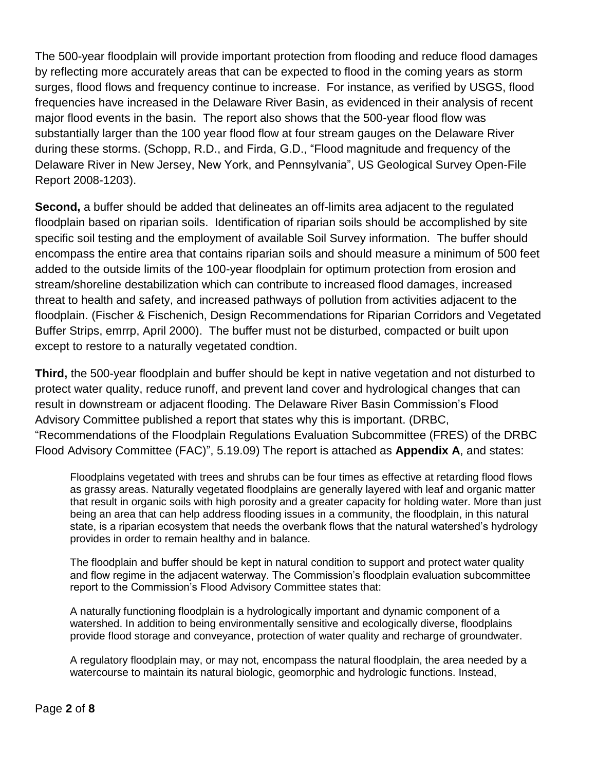The 500-year floodplain will provide important protection from flooding and reduce flood damages by reflecting more accurately areas that can be expected to flood in the coming years as storm surges, flood flows and frequency continue to increase. For instance, as verified by USGS, flood frequencies have increased in the Delaware River Basin, as evidenced in their analysis of recent major flood events in the basin. The report also shows that the 500-year flood flow was substantially larger than the 100 year flood flow at four stream gauges on the Delaware River during these storms. (Schopp, R.D., and Firda, G.D., "Flood magnitude and frequency of the Delaware River in New Jersey, New York, and Pennsylvania", US Geological Survey Open-File Report 2008-1203).

**Second,** a buffer should be added that delineates an off-limits area adjacent to the regulated floodplain based on riparian soils. Identification of riparian soils should be accomplished by site specific soil testing and the employment of available Soil Survey information. The buffer should encompass the entire area that contains riparian soils and should measure a minimum of 500 feet added to the outside limits of the 100-year floodplain for optimum protection from erosion and stream/shoreline destabilization which can contribute to increased flood damages, increased threat to health and safety, and increased pathways of pollution from activities adjacent to the floodplain. (Fischer & Fischenich, Design Recommendations for Riparian Corridors and Vegetated Buffer Strips, emrrp, April 2000). The buffer must not be disturbed, compacted or built upon except to restore to a naturally vegetated condtion.

**Third,** the 500-year floodplain and buffer should be kept in native vegetation and not disturbed to protect water quality, reduce runoff, and prevent land cover and hydrological changes that can result in downstream or adjacent flooding. The Delaware River Basin Commission's Flood Advisory Committee published a report that states why this is important. (DRBC, "Recommendations of the Floodplain Regulations Evaluation Subcommittee (FRES) of the DRBC Flood Advisory Committee (FAC)", 5.19.09) The report is attached as **Appendix A**, and states:

Floodplains vegetated with trees and shrubs can be four times as effective at retarding flood flows as grassy areas. Naturally vegetated floodplains are generally layered with leaf and organic matter that result in organic soils with high porosity and a greater capacity for holding water. More than just being an area that can help address flooding issues in a community, the floodplain, in this natural state, is a riparian ecosystem that needs the overbank flows that the natural watershed's hydrology provides in order to remain healthy and in balance.

The floodplain and buffer should be kept in natural condition to support and protect water quality and flow regime in the adjacent waterway. The Commission's floodplain evaluation subcommittee report to the Commission's Flood Advisory Committee states that:

A naturally functioning floodplain is a hydrologically important and dynamic component of a watershed. In addition to being environmentally sensitive and ecologically diverse, floodplains provide flood storage and conveyance, protection of water quality and recharge of groundwater.

A regulatory floodplain may, or may not, encompass the natural floodplain, the area needed by a watercourse to maintain its natural biologic, geomorphic and hydrologic functions. Instead,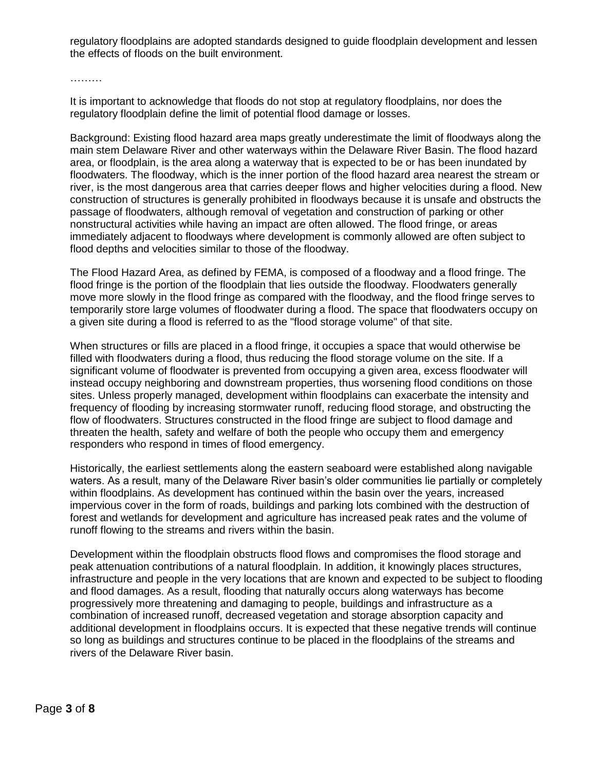regulatory floodplains are adopted standards designed to guide floodplain development and lessen the effects of floods on the built environment.

………

It is important to acknowledge that floods do not stop at regulatory floodplains, nor does the regulatory floodplain define the limit of potential flood damage or losses.

Background: Existing flood hazard area maps greatly underestimate the limit of floodways along the main stem Delaware River and other waterways within the Delaware River Basin. The flood hazard area, or floodplain, is the area along a waterway that is expected to be or has been inundated by floodwaters. The floodway, which is the inner portion of the flood hazard area nearest the stream or river, is the most dangerous area that carries deeper flows and higher velocities during a flood. New construction of structures is generally prohibited in floodways because it is unsafe and obstructs the passage of floodwaters, although removal of vegetation and construction of parking or other nonstructural activities while having an impact are often allowed. The flood fringe, or areas immediately adjacent to floodways where development is commonly allowed are often subject to flood depths and velocities similar to those of the floodway.

The Flood Hazard Area, as defined by FEMA, is composed of a floodway and a flood fringe. The flood fringe is the portion of the floodplain that lies outside the floodway. Floodwaters generally move more slowly in the flood fringe as compared with the floodway, and the flood fringe serves to temporarily store large volumes of floodwater during a flood. The space that floodwaters occupy on a given site during a flood is referred to as the "flood storage volume" of that site.

When structures or fills are placed in a flood fringe, it occupies a space that would otherwise be filled with floodwaters during a flood, thus reducing the flood storage volume on the site. If a significant volume of floodwater is prevented from occupying a given area, excess floodwater will instead occupy neighboring and downstream properties, thus worsening flood conditions on those sites. Unless properly managed, development within floodplains can exacerbate the intensity and frequency of flooding by increasing stormwater runoff, reducing flood storage, and obstructing the flow of floodwaters. Structures constructed in the flood fringe are subject to flood damage and threaten the health, safety and welfare of both the people who occupy them and emergency responders who respond in times of flood emergency.

Historically, the earliest settlements along the eastern seaboard were established along navigable waters. As a result, many of the Delaware River basin's older communities lie partially or completely within floodplains. As development has continued within the basin over the years, increased impervious cover in the form of roads, buildings and parking lots combined with the destruction of forest and wetlands for development and agriculture has increased peak rates and the volume of runoff flowing to the streams and rivers within the basin.

Development within the floodplain obstructs flood flows and compromises the flood storage and peak attenuation contributions of a natural floodplain. In addition, it knowingly places structures, infrastructure and people in the very locations that are known and expected to be subject to flooding and flood damages. As a result, flooding that naturally occurs along waterways has become progressively more threatening and damaging to people, buildings and infrastructure as a combination of increased runoff, decreased vegetation and storage absorption capacity and additional development in floodplains occurs. It is expected that these negative trends will continue so long as buildings and structures continue to be placed in the floodplains of the streams and rivers of the Delaware River basin.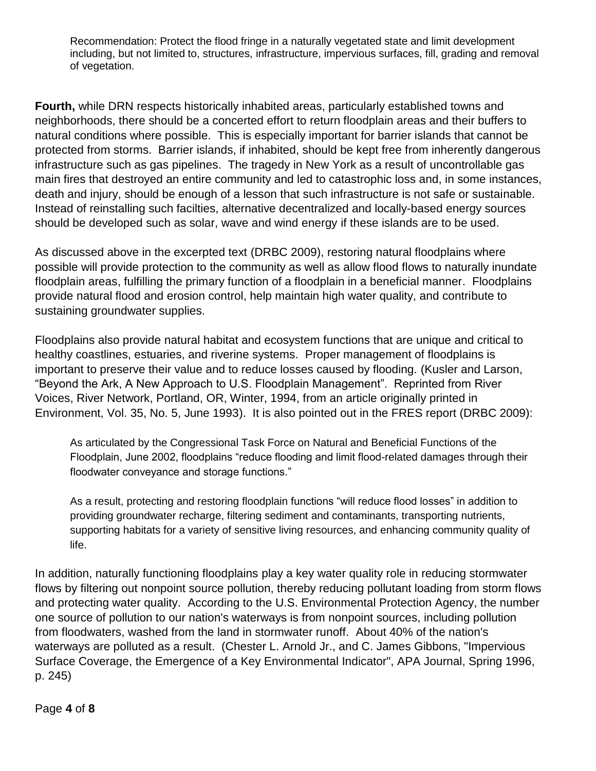Recommendation: Protect the flood fringe in a naturally vegetated state and limit development including, but not limited to, structures, infrastructure, impervious surfaces, fill, grading and removal of vegetation.

**Fourth,** while DRN respects historically inhabited areas, particularly established towns and neighborhoods, there should be a concerted effort to return floodplain areas and their buffers to natural conditions where possible. This is especially important for barrier islands that cannot be protected from storms. Barrier islands, if inhabited, should be kept free from inherently dangerous infrastructure such as gas pipelines. The tragedy in New York as a result of uncontrollable gas main fires that destroyed an entire community and led to catastrophic loss and, in some instances, death and injury, should be enough of a lesson that such infrastructure is not safe or sustainable. Instead of reinstalling such facilties, alternative decentralized and locally-based energy sources should be developed such as solar, wave and wind energy if these islands are to be used.

As discussed above in the excerpted text (DRBC 2009), restoring natural floodplains where possible will provide protection to the community as well as allow flood flows to naturally inundate floodplain areas, fulfilling the primary function of a floodplain in a beneficial manner. Floodplains provide natural flood and erosion control, help maintain high water quality, and contribute to sustaining groundwater supplies.

Floodplains also provide natural habitat and ecosystem functions that are unique and critical to healthy coastlines, estuaries, and riverine systems. Proper management of floodplains is important to preserve their value and to reduce losses caused by flooding. (Kusler and Larson, "Beyond the Ark, A New Approach to U.S. Floodplain Management". Reprinted from River Voices, River Network, Portland, OR, Winter, 1994, from an article originally printed in Environment, Vol. 35, No. 5, June 1993). It is also pointed out in the FRES report (DRBC 2009):

As articulated by the Congressional Task Force on Natural and Beneficial Functions of the Floodplain, June 2002, floodplains "reduce flooding and limit flood-related damages through their floodwater conveyance and storage functions."

As a result, protecting and restoring floodplain functions "will reduce flood losses" in addition to providing groundwater recharge, filtering sediment and contaminants, transporting nutrients, supporting habitats for a variety of sensitive living resources, and enhancing community quality of life.

In addition, naturally functioning floodplains play a key water quality role in reducing stormwater flows by filtering out nonpoint source pollution, thereby reducing pollutant loading from storm flows and protecting water quality. According to the U.S. Environmental Protection Agency, the number one source of pollution to our nation's waterways is from nonpoint sources, including pollution from floodwaters, washed from the land in stormwater runoff. About 40% of the nation's waterways are polluted as a result. (Chester L. Arnold Jr., and C. James Gibbons, "Impervious Surface Coverage, the Emergence of a Key Environmental Indicator", APA Journal, Spring 1996, p. 245)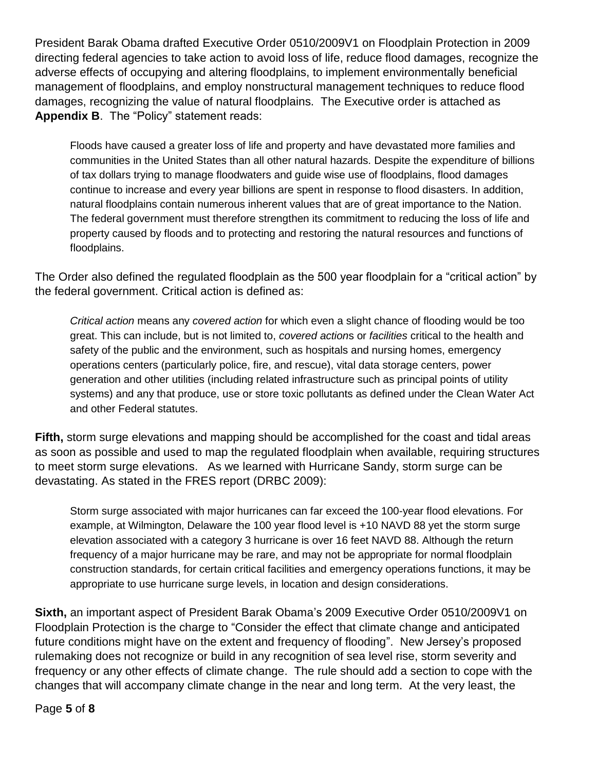President Barak Obama drafted Executive Order 0510/2009V1 on Floodplain Protection in 2009 directing federal agencies to take action to avoid loss of life, reduce flood damages, recognize the adverse effects of occupying and altering floodplains, to implement environmentally beneficial management of floodplains, and employ nonstructural management techniques to reduce flood damages, recognizing the value of natural floodplains. The Executive order is attached as **Appendix B**. The "Policy" statement reads:

Floods have caused a greater loss of life and property and have devastated more families and communities in the United States than all other natural hazards. Despite the expenditure of billions of tax dollars trying to manage floodwaters and guide wise use of floodplains, flood damages continue to increase and every year billions are spent in response to flood disasters. In addition, natural floodplains contain numerous inherent values that are of great importance to the Nation. The federal government must therefore strengthen its commitment to reducing the loss of life and property caused by floods and to protecting and restoring the natural resources and functions of floodplains.

The Order also defined the regulated floodplain as the 500 year floodplain for a "critical action" by the federal government. Critical action is defined as:

*Critical action* means any *covered action* for which even a slight chance of flooding would be too great. This can include, but is not limited to, *covered action*s or *facilities* critical to the health and safety of the public and the environment, such as hospitals and nursing homes, emergency operations centers (particularly police, fire, and rescue), vital data storage centers, power generation and other utilities (including related infrastructure such as principal points of utility systems) and any that produce, use or store toxic pollutants as defined under the Clean Water Act and other Federal statutes.

**Fifth,** storm surge elevations and mapping should be accomplished for the coast and tidal areas as soon as possible and used to map the regulated floodplain when available, requiring structures to meet storm surge elevations. As we learned with Hurricane Sandy, storm surge can be devastating. As stated in the FRES report (DRBC 2009):

Storm surge associated with major hurricanes can far exceed the 100-year flood elevations. For example, at Wilmington, Delaware the 100 year flood level is +10 NAVD 88 yet the storm surge elevation associated with a category 3 hurricane is over 16 feet NAVD 88. Although the return frequency of a major hurricane may be rare, and may not be appropriate for normal floodplain construction standards, for certain critical facilities and emergency operations functions, it may be appropriate to use hurricane surge levels, in location and design considerations.

**Sixth,** an important aspect of President Barak Obama's 2009 Executive Order 0510/2009V1 on Floodplain Protection is the charge to "Consider the effect that climate change and anticipated future conditions might have on the extent and frequency of flooding". New Jersey's proposed rulemaking does not recognize or build in any recognition of sea level rise, storm severity and frequency or any other effects of climate change. The rule should add a section to cope with the changes that will accompany climate change in the near and long term. At the very least, the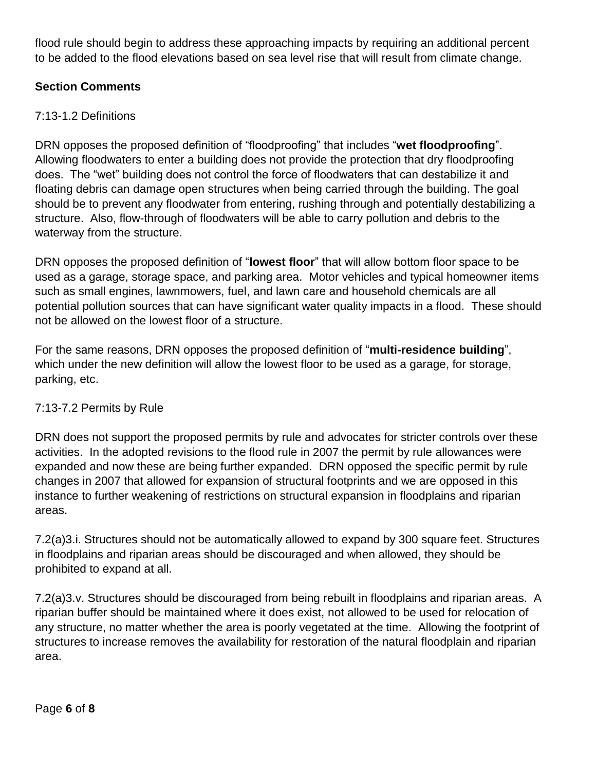flood rule should begin to address these approaching impacts by requiring an additional percent to be added to the flood elevations based on sea level rise that will result from climate change.

# **Section Comments**

# 7:13-1.2 Definitions

DRN opposes the proposed definition of "floodproofing" that includes "**wet floodproofing**". Allowing floodwaters to enter a building does not provide the protection that dry floodproofing does. The "wet" building does not control the force of floodwaters that can destabilize it and floating debris can damage open structures when being carried through the building. The goal should be to prevent any floodwater from entering, rushing through and potentially destabilizing a structure. Also, flow-through of floodwaters will be able to carry pollution and debris to the waterway from the structure.

DRN opposes the proposed definition of "**lowest floor**" that will allow bottom floor space to be used as a garage, storage space, and parking area. Motor vehicles and typical homeowner items such as small engines, lawnmowers, fuel, and lawn care and household chemicals are all potential pollution sources that can have significant water quality impacts in a flood. These should not be allowed on the lowest floor of a structure.

For the same reasons, DRN opposes the proposed definition of "**multi-residence building**", which under the new definition will allow the lowest floor to be used as a garage, for storage, parking, etc.

# 7:13-7.2 Permits by Rule

DRN does not support the proposed permits by rule and advocates for stricter controls over these activities. In the adopted revisions to the flood rule in 2007 the permit by rule allowances were expanded and now these are being further expanded. DRN opposed the specific permit by rule changes in 2007 that allowed for expansion of structural footprints and we are opposed in this instance to further weakening of restrictions on structural expansion in floodplains and riparian areas.

7.2(a)3.i. Structures should not be automatically allowed to expand by 300 square feet. Structures in floodplains and riparian areas should be discouraged and when allowed, they should be prohibited to expand at all.

7.2(a)3.v. Structures should be discouraged from being rebuilt in floodplains and riparian areas. A riparian buffer should be maintained where it does exist, not allowed to be used for relocation of any structure, no matter whether the area is poorly vegetated at the time. Allowing the footprint of structures to increase removes the availability for restoration of the natural floodplain and riparian area.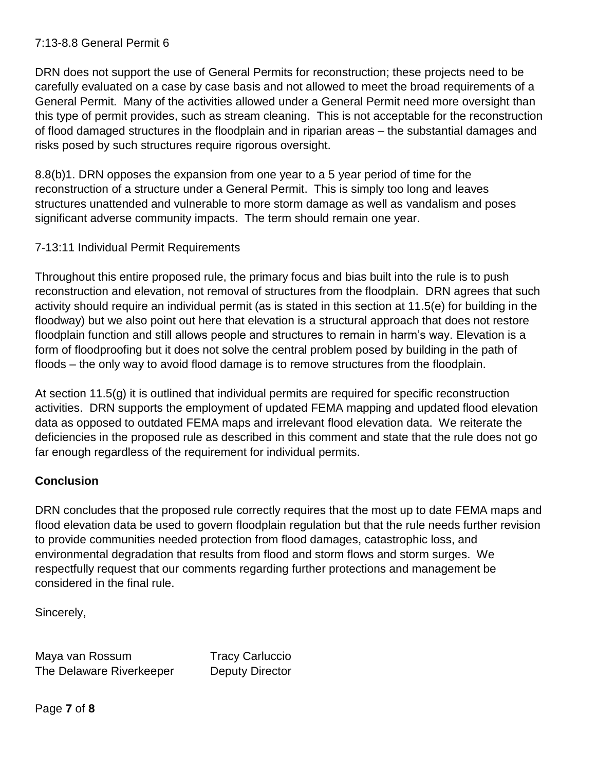### 7:13-8.8 General Permit 6

DRN does not support the use of General Permits for reconstruction; these projects need to be carefully evaluated on a case by case basis and not allowed to meet the broad requirements of a General Permit. Many of the activities allowed under a General Permit need more oversight than this type of permit provides, such as stream cleaning. This is not acceptable for the reconstruction of flood damaged structures in the floodplain and in riparian areas – the substantial damages and risks posed by such structures require rigorous oversight.

8.8(b)1. DRN opposes the expansion from one year to a 5 year period of time for the reconstruction of a structure under a General Permit. This is simply too long and leaves structures unattended and vulnerable to more storm damage as well as vandalism and poses significant adverse community impacts. The term should remain one year.

#### 7-13:11 Individual Permit Requirements

Throughout this entire proposed rule, the primary focus and bias built into the rule is to push reconstruction and elevation, not removal of structures from the floodplain. DRN agrees that such activity should require an individual permit (as is stated in this section at 11.5(e) for building in the floodway) but we also point out here that elevation is a structural approach that does not restore floodplain function and still allows people and structures to remain in harm's way. Elevation is a form of floodproofing but it does not solve the central problem posed by building in the path of floods – the only way to avoid flood damage is to remove structures from the floodplain.

At section 11.5(g) it is outlined that individual permits are required for specific reconstruction activities. DRN supports the employment of updated FEMA mapping and updated flood elevation data as opposed to outdated FEMA maps and irrelevant flood elevation data. We reiterate the deficiencies in the proposed rule as described in this comment and state that the rule does not go far enough regardless of the requirement for individual permits.

## **Conclusion**

DRN concludes that the proposed rule correctly requires that the most up to date FEMA maps and flood elevation data be used to govern floodplain regulation but that the rule needs further revision to provide communities needed protection from flood damages, catastrophic loss, and environmental degradation that results from flood and storm flows and storm surges. We respectfully request that our comments regarding further protections and management be considered in the final rule.

Sincerely,

Maya van Rossum Tracy Carluccio The Delaware Riverkeeper Deputy Director

Page **7** of **8**